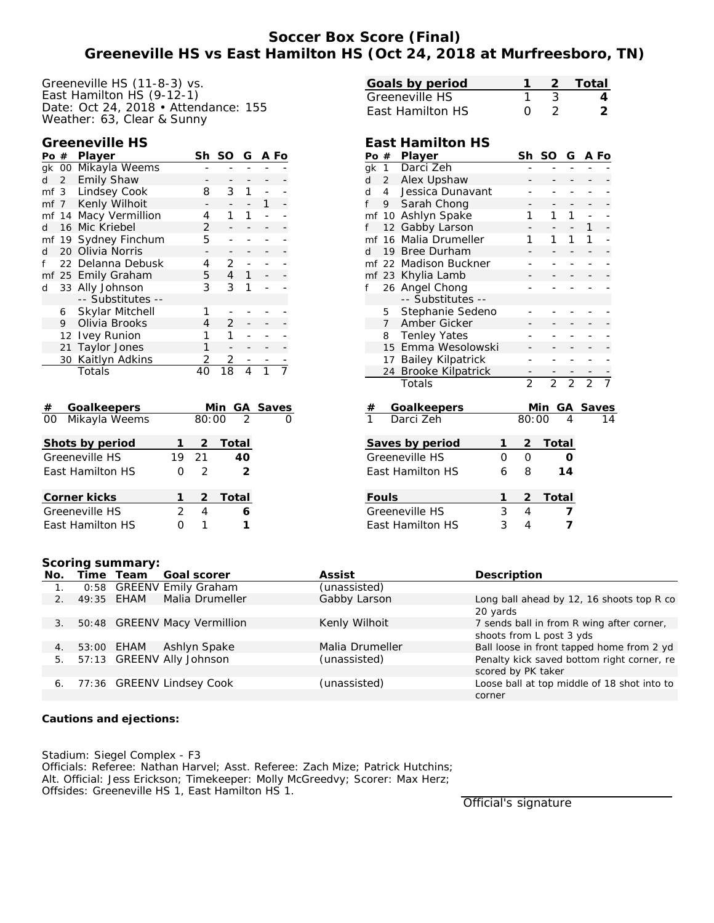# **Soccer Box Score (Final) Greeneville HS vs East Hamilton HS (Oct 24, 2018 at Murfreesboro, TN)**

Greeneville HS (11-8-3) vs. East Hamilton HS (9-12-1) Date: Oct 24, 2018 • Attendance: 155 Weather: 63, Clear & Sunny

#### **Greeneville HS**

| Po # |                   | Player               | Sh | SO            | G | A Fo |  |
|------|-------------------|----------------------|----|---------------|---|------|--|
|      | gk 00             | Mikayla Weems        |    |               |   |      |  |
| d    | $\overline{2}$    | <b>Emily Shaw</b>    |    |               |   |      |  |
|      |                   | mf 3 Lindsey Cook    | 8  | 3             |   |      |  |
|      | mf 7              | Kenly Wilhoit        |    |               |   |      |  |
|      | mf 14             | Macy Vermillion      | 4  | 1             |   |      |  |
| d    | 16                | Mic Kriebel          | 2  |               |   |      |  |
|      |                   | mf 19 Sydney Finchum | 5  |               |   |      |  |
| d    | 20                | Olivia Norris        |    |               |   |      |  |
|      |                   | 22 Delanna Debusk    | 4  | 2             |   |      |  |
|      |                   | mf 25 Emily Graham   | 5  | 4             |   |      |  |
| d    |                   | 33 Ally Johnson      | 3  | 3             |   |      |  |
|      |                   | -- Substitutes --    |    |               |   |      |  |
|      | 6                 | Skylar Mitchell      | 1  |               |   |      |  |
|      | 9                 | Olivia Brooks        | 4  | $\mathcal{P}$ |   |      |  |
|      | $12 \overline{ }$ | <b>Ivey Runion</b>   | 1  | 1             |   |      |  |
|      | 21                | <b>Taylor Jones</b>  | 1  |               |   |      |  |
|      | 30                | Kaitlyn Adkins       | 2  | 2             |   |      |  |
|      |                   | Totals               | 40 | 18            |   |      |  |

| #  | Goalkeepers      |   |                      | Min GA Saves  |  |
|----|------------------|---|----------------------|---------------|--|
| 00 | Mikayla Weems    |   |                      | $80:00 \ 2$   |  |
|    | Shots by period  |   | $\frac{2}{\sqrt{2}}$ | Total         |  |
|    | Greeneville HS   |   | 19 21                | 40            |  |
|    | East Hamilton HS | Ω | $\mathcal{L}$        | $\mathcal{P}$ |  |
|    | Corner kicks     |   |                      | 2 Total       |  |
|    | Greeneville HS   | 2 | 4                    |               |  |
|    | East Hamilton HS |   |                      |               |  |

| Goals by period         |  | 2 Total |
|-------------------------|--|---------|
| Greeneville HS          |  |         |
| <b>Fast Hamilton HS</b> |  |         |

## **East Hamilton HS**

| Po | #              | Player                   |   | Sh             | <b>SO</b>      | G              |                | A Fo |
|----|----------------|--------------------------|---|----------------|----------------|----------------|----------------|------|
| gk | 1              | Darci Zeh                |   |                |                |                |                |      |
| d  | $\overline{2}$ | Alex Upshaw              |   |                |                |                |                |      |
| d  | 4              | Jessica Dunavant         |   |                |                |                | -              |      |
| f  | 9              | Sarah Chong              |   |                |                |                |                |      |
| mf | 10             | Ashlyn Spake             |   | 1              | 1              | 1              |                |      |
| f  | 12             | Gabby Larson             |   |                |                | -              | 1              |      |
| mf | 16             | Malia Drumeller          |   | 1              | 1              | 1              | 1              |      |
| d  | 19             | <b>Bree Durham</b>       |   |                |                |                |                |      |
| mf | 22             | <b>Madison Buckner</b>   |   |                |                |                | -              |      |
| mf | 23             | Khylia Lamb              |   |                |                |                |                |      |
| f  | 26             | Angel Chong              |   |                |                |                |                |      |
|    |                | -- Substitutes --        |   |                |                |                |                |      |
|    | 5              | Stephanie Sedeno         |   |                |                |                |                |      |
|    | $\overline{7}$ | Amber Gicker             |   |                |                |                |                |      |
|    | 8              | <b>Tenley Yates</b>      |   |                |                |                |                |      |
|    | 15             | Emma Wesolowski          |   |                |                |                |                |      |
|    | 17             | <b>Bailey Kilpatrick</b> |   |                |                |                | -              |      |
|    | 24             | <b>Brooke Kilpatrick</b> |   |                |                |                |                |      |
|    |                | Totals                   |   | $\overline{2}$ | $\overline{2}$ | $\overline{2}$ | $\overline{2}$ |      |
| #  |                | Goalkeepers              |   |                | <u>Min</u>     |                | GA Saves       |      |
| 1  |                | Darci Zeh                |   | 80:00          |                | 4              |                |      |
|    |                | Saves by period          | 1 | $\overline{c}$ | Total          |                |                |      |
|    |                | Greeneville HS           | O | O              |                | Ο              |                |      |
|    |                |                          |   |                |                |                |                |      |
|    |                | East Hamilton HS         | 6 | 8              |                | 14             |                |      |
|    | Fouls          |                          | 1 | $\overline{2}$ | Total          |                |                |      |
|    |                | Greeneville HS           | 3 | 4              |                | 7              |                |      |
|    |                | East Hamilton HS         | 3 | 4              |                | 7              |                |      |

#### **Scoring summary:**

| No.            |            | Time Team  | Goal scorer                  | Assist          | Description                                 |
|----------------|------------|------------|------------------------------|-----------------|---------------------------------------------|
|                |            |            | 0:58 GREENV Emily Graham     | (unassisted)    |                                             |
| $\mathbf{2}$ . |            | 49:35 EHAM | Malia Drumeller              | Gabby Larson    | Long ball ahead by 12, 16 shoots top R co   |
|                |            |            |                              |                 | 20 yards                                    |
| 3 <sub>1</sub> |            |            | 50:48 GREENV Macy Vermillion | Kenly Wilhoit   | 7 sends ball in from R wing after corner,   |
|                |            |            |                              |                 | shoots from L post 3 yds                    |
| 4.             | 53:00 EHAM |            | Ashlyn Spake                 | Malia Drumeller | Ball loose in front tapped home from 2 yd   |
| 5.             |            |            | 57:13 GREENV Ally Johnson    | (unassisted)    | Penalty kick saved bottom right corner, re  |
|                |            |            |                              |                 | scored by PK taker                          |
| 6.             |            |            | 77:36 GREENV Lindsey Cook    | (unassisted)    | Loose ball at top middle of 18 shot into to |
|                |            |            |                              |                 | corner                                      |

**Cautions and ejections:**

Stadium: Siegel Complex - F3 Officials: Referee: Nathan Harvel; Asst. Referee: Zach Mize; Patrick Hutchins; Alt. Official: Jess Erickson; Timekeeper: Molly McGreedvy; Scorer: Max Herz; Offsides: Greeneville HS 1, East Hamilton HS 1.

Official's signature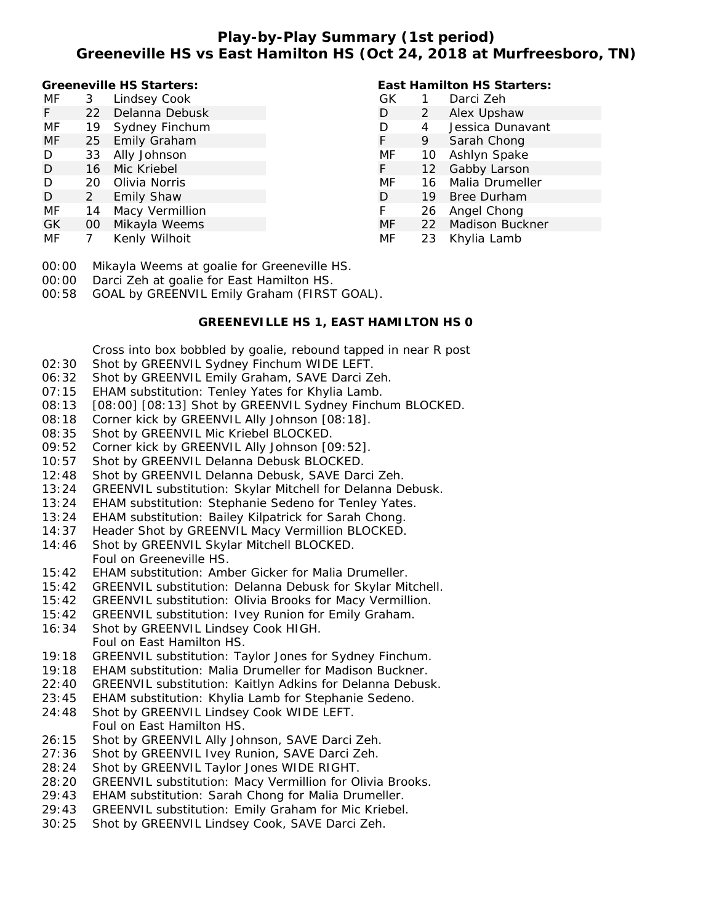# **Play-by-Play Summary (1st period) Greeneville HS vs East Hamilton HS (Oct 24, 2018 at Murfreesboro, TN)**

**East Hamilton HS Starters:**

**Greeneville HS Starters:**

| МF | 3   | Lindsey Cook    | GК |                   | Darci Zeh              |
|----|-----|-----------------|----|-------------------|------------------------|
| F. | 22  | Delanna Debusk  | D  | 2                 | Alex Upshaw            |
| МF | 19  | Sydney Finchum  | D  | 4                 | Jessica Dunavant       |
| МF |     | 25 Emily Graham | F. | 9                 | Sarah Chong            |
| D  | 33  | Ally Johnson    | MF | 10                | Ashlyn Spake           |
| D  | 16  | Mic Kriebel     | F. | $12 \overline{ }$ | Gabby Larson           |
| D  | 20. | Olivia Norris   | MF | 16                | Malia Drumeller        |
| D  | 2   | Emily Shaw      | D  | 19                | <b>Bree Durham</b>     |
| МF | 14  | Macy Vermillion | F. | 26                | Angel Chong            |
| GК | 00  | Mikayla Weems   | MF | 22                | <b>Madison Buckner</b> |
| МF |     | Kenly Wilhoit   | MF | 23                | Khylia Lamb            |
|    |     |                 |    |                   |                        |

00:00 Mikayla Weems at goalie for Greeneville HS.

00:00 Darci Zeh at goalie for East Hamilton HS.

00:58 GOAL by GREENVIL Emily Graham (FIRST GOAL).

## **GREENEVILLE HS 1, EAST HAMILTON HS 0**

Cross into box bobbled by goalie, rebound tapped in near R post

- 02:30 Shot by GREENVIL Sydney Finchum WIDE LEFT.
- 06:32 Shot by GREENVIL Emily Graham, SAVE Darci Zeh.
- 07:15 EHAM substitution: Tenley Yates for Khylia Lamb.
- 08:13 [08:00] [08:13] Shot by GREENVIL Sydney Finchum BLOCKED.
- 08:18 Corner kick by GREENVIL Ally Johnson [08:18].
- 08:35 Shot by GREENVIL Mic Kriebel BLOCKED.
- 09:52 Corner kick by GREENVIL Ally Johnson [09:52].
- 10:57 Shot by GREENVIL Delanna Debusk BLOCKED.
- 12:48 Shot by GREENVIL Delanna Debusk, SAVE Darci Zeh.
- 13:24 GREENVIL substitution: Skylar Mitchell for Delanna Debusk.
- 13:24 EHAM substitution: Stephanie Sedeno for Tenley Yates.
- 13:24 EHAM substitution: Bailey Kilpatrick for Sarah Chong.
- 14:37 Header Shot by GREENVIL Macy Vermillion BLOCKED.
- 14:46 Shot by GREENVIL Skylar Mitchell BLOCKED. Foul on Greeneville HS.
- 15:42 EHAM substitution: Amber Gicker for Malia Drumeller.
- 15:42 GREENVIL substitution: Delanna Debusk for Skylar Mitchell.
- 15:42 GREENVIL substitution: Olivia Brooks for Macy Vermillion.
- 15:42 GREENVIL substitution: Ivey Runion for Emily Graham.
- 16:34 Shot by GREENVIL Lindsey Cook HIGH. Foul on East Hamilton HS.
- 19:18 GREENVIL substitution: Taylor Jones for Sydney Finchum.
- 19:18 EHAM substitution: Malia Drumeller for Madison Buckner.
- 22:40 GREENVIL substitution: Kaitlyn Adkins for Delanna Debusk.
- 23:45 EHAM substitution: Khylia Lamb for Stephanie Sedeno.
- 24:48 Shot by GREENVIL Lindsey Cook WIDE LEFT. Foul on East Hamilton HS.
- 26:15 Shot by GREENVIL Ally Johnson, SAVE Darci Zeh.
- 27:36 Shot by GREENVIL Ivey Runion, SAVE Darci Zeh.
- 28:24 Shot by GREENVIL Taylor Jones WIDE RIGHT.
- 28:20 GREENVIL substitution: Macy Vermillion for Olivia Brooks.
- 29:43 EHAM substitution: Sarah Chong for Malia Drumeller.
- 29:43 GREENVIL substitution: Emily Graham for Mic Kriebel.
- 30:25 Shot by GREENVIL Lindsey Cook, SAVE Darci Zeh.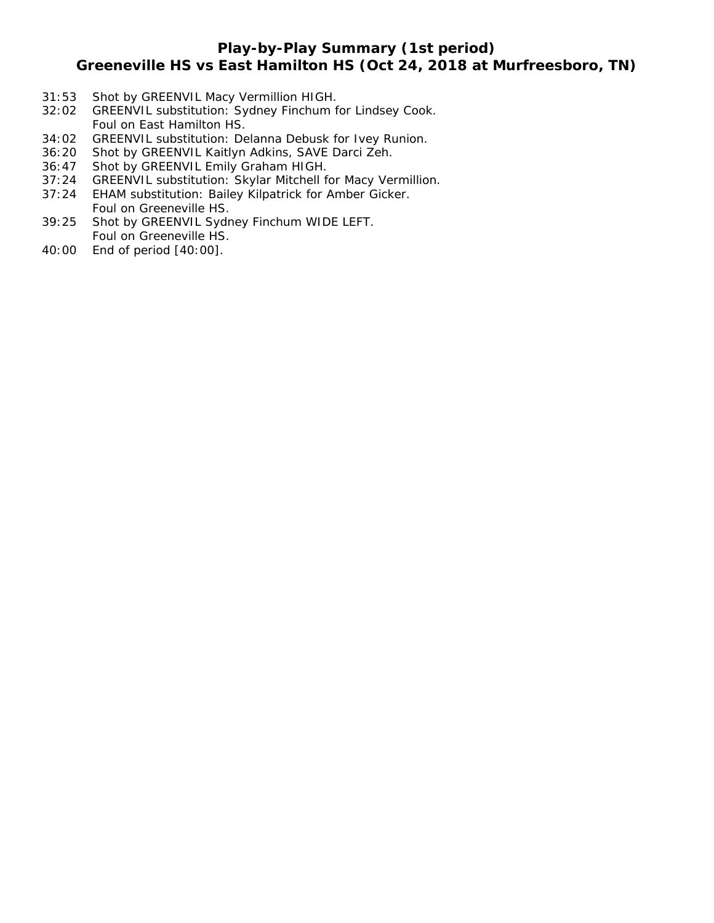## **Play-by-Play Summary (1st period)**

## **Greeneville HS vs East Hamilton HS (Oct 24, 2018 at Murfreesboro, TN)**

- 31:53 Shot by GREENVIL Macy Vermillion HIGH.
- 32:02 GREENVIL substitution: Sydney Finchum for Lindsey Cook. Foul on East Hamilton HS.
- 34:02 GREENVIL substitution: Delanna Debusk for Ivey Runion.
- 36:20 Shot by GREENVIL Kaitlyn Adkins, SAVE Darci Zeh.
- 36:47 Shot by GREENVIL Emily Graham HIGH.
- 37:24 GREENVIL substitution: Skylar Mitchell for Macy Vermillion.
- 37:24 EHAM substitution: Bailey Kilpatrick for Amber Gicker. Foul on Greeneville HS.
- 39:25 Shot by GREENVIL Sydney Finchum WIDE LEFT. Foul on Greeneville HS.
- 40:00 End of period [40:00].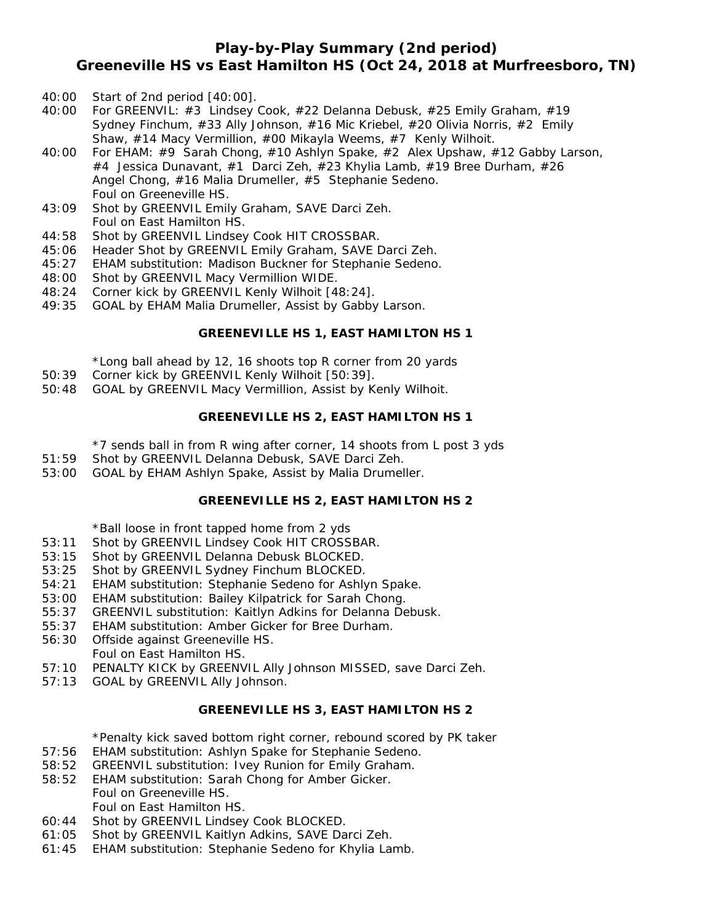# **Play-by-Play Summary (2nd period) Greeneville HS vs East Hamilton HS (Oct 24, 2018 at Murfreesboro, TN)**

- 40:00 Start of 2nd period [40:00].
- 40:00 For GREENVIL: #3 Lindsey Cook, #22 Delanna Debusk, #25 Emily Graham, #19 Sydney Finchum, #33 Ally Johnson, #16 Mic Kriebel, #20 Olivia Norris, #2 Emily Shaw, #14 Macy Vermillion, #00 Mikayla Weems, #7 Kenly Wilhoit.
- 40:00 For EHAM: #9 Sarah Chong, #10 Ashlyn Spake, #2 Alex Upshaw, #12 Gabby Larson, #4 Jessica Dunavant, #1 Darci Zeh, #23 Khylia Lamb, #19 Bree Durham, #26 Angel Chong, #16 Malia Drumeller, #5 Stephanie Sedeno. Foul on Greeneville HS.
- 43:09 Shot by GREENVIL Emily Graham, SAVE Darci Zeh. Foul on East Hamilton HS.
- 44:58 Shot by GREENVIL Lindsey Cook HIT CROSSBAR.
- 45:06 Header Shot by GREENVIL Emily Graham, SAVE Darci Zeh.
- 45:27 EHAM substitution: Madison Buckner for Stephanie Sedeno.
- 48:00 Shot by GREENVIL Macy Vermillion WIDE.
- 48:24 Corner kick by GREENVIL Kenly Wilhoit [48:24].
- 49:35 GOAL by EHAM Malia Drumeller, Assist by Gabby Larson.

## **GREENEVILLE HS 1, EAST HAMILTON HS 1**

\*Long ball ahead by 12, 16 shoots top R corner from 20 yards

- 50:39 Corner kick by GREENVIL Kenly Wilhoit [50:39].
- 50:48 GOAL by GREENVIL Macy Vermillion, Assist by Kenly Wilhoit.

#### **GREENEVILLE HS 2, EAST HAMILTON HS 1**

\*7 sends ball in from R wing after corner, 14 shoots from L post 3 yds

- 51:59 Shot by GREENVIL Delanna Debusk, SAVE Darci Zeh.
- 53:00 GOAL by EHAM Ashlyn Spake, Assist by Malia Drumeller.

## **GREENEVILLE HS 2, EAST HAMILTON HS 2**

\*Ball loose in front tapped home from 2 yds

- 53:11 Shot by GREENVIL Lindsey Cook HIT CROSSBAR.
- 53:15 Shot by GREENVIL Delanna Debusk BLOCKED.
- 53:25 Shot by GREENVIL Sydney Finchum BLOCKED.
- 54:21 EHAM substitution: Stephanie Sedeno for Ashlyn Spake.
- 53:00 EHAM substitution: Bailey Kilpatrick for Sarah Chong.
- 55:37 GREENVIL substitution: Kaitlyn Adkins for Delanna Debusk.
- 55:37 EHAM substitution: Amber Gicker for Bree Durham.
- 56:30 Offside against Greeneville HS. Foul on East Hamilton HS.
- 57:10 PENALTY KICK by GREENVIL Ally Johnson MISSED, save Darci Zeh.
- 57:13 GOAL by GREENVIL Ally Johnson.

#### **GREENEVILLE HS 3, EAST HAMILTON HS 2**

\*Penalty kick saved bottom right corner, rebound scored by PK taker

- 57:56 EHAM substitution: Ashlyn Spake for Stephanie Sedeno.
- 58:52 GREENVIL substitution: Ivey Runion for Emily Graham.
- 58:52 EHAM substitution: Sarah Chong for Amber Gicker. Foul on Greeneville HS. Foul on East Hamilton HS.
- 60:44 Shot by GREENVIL Lindsey Cook BLOCKED.
- 61:05 Shot by GREENVIL Kaitlyn Adkins, SAVE Darci Zeh.
- 61:45 EHAM substitution: Stephanie Sedeno for Khylia Lamb.